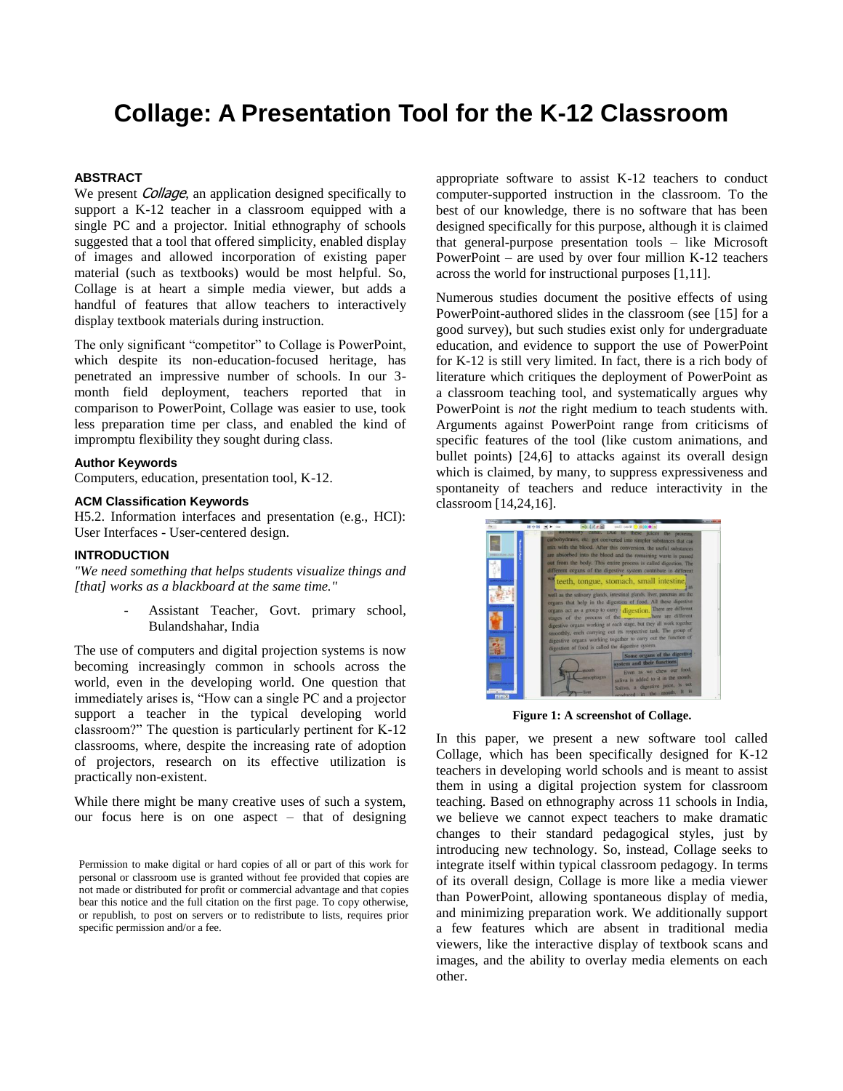# **Collage: A Presentation Tool for the K-12 Classroom**

## **ABSTRACT**

We present *Collage*, an application designed specifically to support a K-12 teacher in a classroom equipped with a single PC and a projector. Initial ethnography of schools suggested that a tool that offered simplicity, enabled display of images and allowed incorporation of existing paper material (such as textbooks) would be most helpful. So, Collage is at heart a simple media viewer, but adds a handful of features that allow teachers to interactively display textbook materials during instruction.

The only significant "competitor" to Collage is PowerPoint, which despite its non-education-focused heritage, has penetrated an impressive number of schools. In our 3 month field deployment, teachers reported that in comparison to PowerPoint, Collage was easier to use, took less preparation time per class, and enabled the kind of impromptu flexibility they sought during class.

# **Author Keywords**

Computers, education, presentation tool, K-12.

#### **ACM Classification Keywords**

H5.2. Information interfaces and presentation (e.g., HCI): User Interfaces - User-centered design.

# **INTRODUCTION**

*"We need something that helps students visualize things and [that] works as a blackboard at the same time."*

> Assistant Teacher, Govt. primary school, Bulandshahar, India

The use of computers and digital projection systems is now becoming increasingly common in schools across the world, even in the developing world. One question that immediately arises is, "How can a single PC and a projector support a teacher in the typical developing world classroom?" The question is particularly pertinent for K-12 classrooms, where, despite the increasing rate of adoption of projectors, research on its effective utilization is practically non-existent.

While there might be many creative uses of such a system, our focus here is on one aspect – that of designing

appropriate software to assist K-12 teachers to conduct computer-supported instruction in the classroom. To the best of our knowledge, there is no software that has been designed specifically for this purpose, although it is claimed that general-purpose presentation tools – like Microsoft PowerPoint – are used by over four million K-12 teachers across the world for instructional purposes [1,11].

Numerous studies document the positive effects of using PowerPoint-authored slides in the classroom (see [15] for a good survey), but such studies exist only for undergraduate education, and evidence to support the use of PowerPoint for K-12 is still very limited. In fact, there is a rich body of literature which critiques the deployment of PowerPoint as a classroom teaching tool, and systematically argues why PowerPoint is *not* the right medium to teach students with. Arguments against PowerPoint range from criticisms of specific features of the tool (like custom animations, and bullet points) [24,6] to attacks against its overall design which is claimed, by many, to suppress expressiveness and spontaneity of teachers and reduce interactivity in the classroom [14,24,16].



**Figure 1: A screenshot of Collage.**

In this paper, we present a new software tool called Collage, which has been specifically designed for K-12 teachers in developing world schools and is meant to assist them in using a digital projection system for classroom teaching. Based on ethnography across 11 schools in India, we believe we cannot expect teachers to make dramatic changes to their standard pedagogical styles, just by introducing new technology. So, instead, Collage seeks to integrate itself within typical classroom pedagogy. In terms of its overall design, Collage is more like a media viewer than PowerPoint, allowing spontaneous display of media, and minimizing preparation work. We additionally support a few features which are absent in traditional media viewers, like the interactive display of textbook scans and images, and the ability to overlay media elements on each other.

Permission to make digital or hard copies of all or part of this work for personal or classroom use is granted without fee provided that copies are not made or distributed for profit or commercial advantage and that copies bear this notice and the full citation on the first page. To copy otherwise, or republish, to post on servers or to redistribute to lists, requires prior specific permission and/or a fee.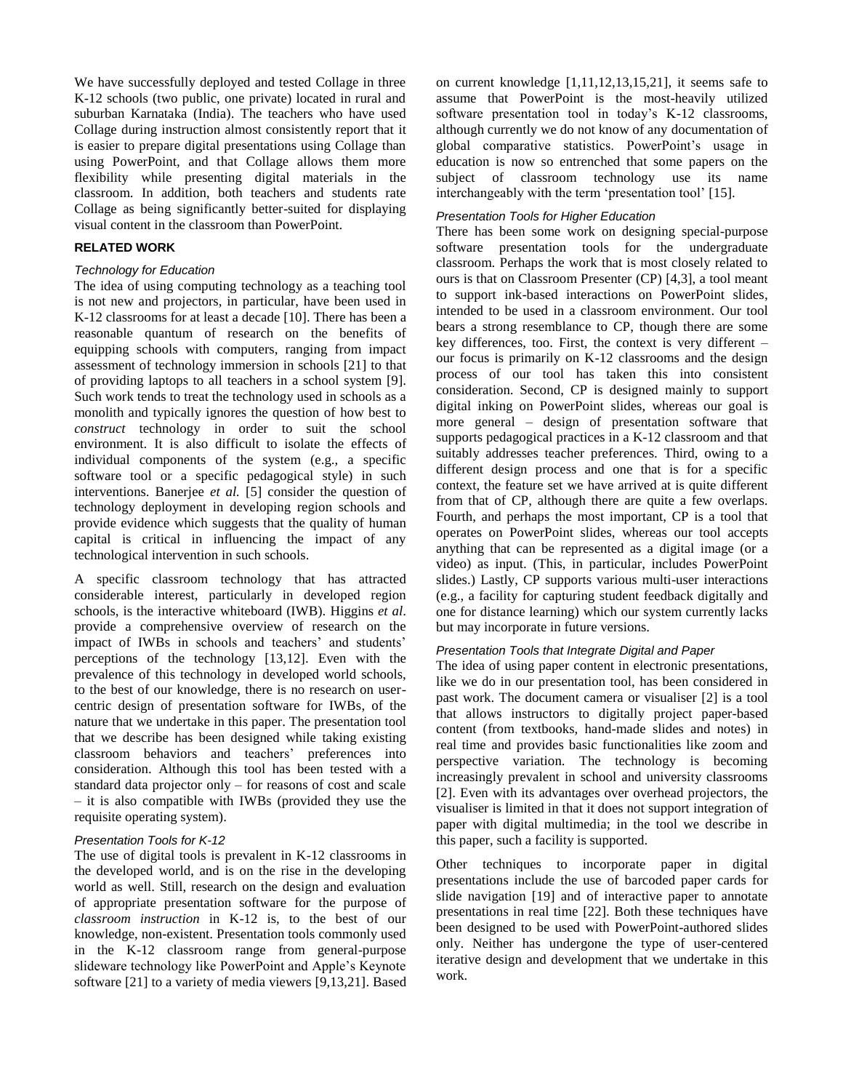We have successfully deployed and tested Collage in three K-12 schools (two public, one private) located in rural and suburban Karnataka (India). The teachers who have used Collage during instruction almost consistently report that it is easier to prepare digital presentations using Collage than using PowerPoint, and that Collage allows them more flexibility while presenting digital materials in the classroom. In addition, both teachers and students rate Collage as being significantly better-suited for displaying visual content in the classroom than PowerPoint.

## **RELATED WORK**

## *Technology for Education*

The idea of using computing technology as a teaching tool is not new and projectors, in particular, have been used in K-12 classrooms for at least a decade [10]. There has been a reasonable quantum of research on the benefits of equipping schools with computers, ranging from impact assessment of technology immersion in schools [21] to that of providing laptops to all teachers in a school system [9]. Such work tends to treat the technology used in schools as a monolith and typically ignores the question of how best to *construct* technology in order to suit the school environment. It is also difficult to isolate the effects of individual components of the system (e.g., a specific software tool or a specific pedagogical style) in such interventions. Banerjee *et al.* [5] consider the question of technology deployment in developing region schools and provide evidence which suggests that the quality of human capital is critical in influencing the impact of any technological intervention in such schools.

A specific classroom technology that has attracted considerable interest, particularly in developed region schools, is the interactive whiteboard (IWB). Higgins *et al*. provide a comprehensive overview of research on the impact of IWBs in schools and teachers' and students' perceptions of the technology [13,12]. Even with the prevalence of this technology in developed world schools, to the best of our knowledge, there is no research on usercentric design of presentation software for IWBs, of the nature that we undertake in this paper. The presentation tool that we describe has been designed while taking existing classroom behaviors and teachers" preferences into consideration. Although this tool has been tested with a standard data projector only – for reasons of cost and scale – it is also compatible with IWBs (provided they use the requisite operating system).

# *Presentation Tools for K-12*

The use of digital tools is prevalent in K-12 classrooms in the developed world, and is on the rise in the developing world as well. Still, research on the design and evaluation of appropriate presentation software for the purpose of *classroom instruction* in K-12 is, to the best of our knowledge, non-existent. Presentation tools commonly used in the K-12 classroom range from general-purpose slideware technology like PowerPoint and Apple"s Keynote software [21] to a variety of media viewers [9,13,21]. Based

on current knowledge [1,11,12,13,15,21], it seems safe to assume that PowerPoint is the most-heavily utilized software presentation tool in today"s K-12 classrooms, although currently we do not know of any documentation of global comparative statistics. PowerPoint"s usage in education is now so entrenched that some papers on the subject of classroom technology use its name interchangeably with the term "presentation tool" [15].

# *Presentation Tools for Higher Education*

There has been some work on designing special-purpose software presentation tools for the undergraduate classroom. Perhaps the work that is most closely related to ours is that on Classroom Presenter (CP) [4,3], a tool meant to support ink-based interactions on PowerPoint slides, intended to be used in a classroom environment. Our tool bears a strong resemblance to CP, though there are some key differences, too. First, the context is very different – our focus is primarily on K-12 classrooms and the design process of our tool has taken this into consistent consideration. Second, CP is designed mainly to support digital inking on PowerPoint slides, whereas our goal is more general – design of presentation software that supports pedagogical practices in a K-12 classroom and that suitably addresses teacher preferences. Third, owing to a different design process and one that is for a specific context, the feature set we have arrived at is quite different from that of CP, although there are quite a few overlaps. Fourth, and perhaps the most important, CP is a tool that operates on PowerPoint slides, whereas our tool accepts anything that can be represented as a digital image (or a video) as input. (This, in particular, includes PowerPoint slides.) Lastly, CP supports various multi-user interactions (e.g., a facility for capturing student feedback digitally and one for distance learning) which our system currently lacks but may incorporate in future versions.

# *Presentation Tools that Integrate Digital and Paper*

The idea of using paper content in electronic presentations, like we do in our presentation tool, has been considered in past work. The document camera or visualiser [2] is a tool that allows instructors to digitally project paper-based content (from textbooks, hand-made slides and notes) in real time and provides basic functionalities like zoom and perspective variation. The technology is becoming increasingly prevalent in school and university classrooms [2]. Even with its advantages over overhead projectors, the visualiser is limited in that it does not support integration of paper with digital multimedia; in the tool we describe in this paper, such a facility is supported.

Other techniques to incorporate paper in digital presentations include the use of barcoded paper cards for slide navigation [19] and of interactive paper to annotate presentations in real time [22]. Both these techniques have been designed to be used with PowerPoint-authored slides only. Neither has undergone the type of user-centered iterative design and development that we undertake in this work.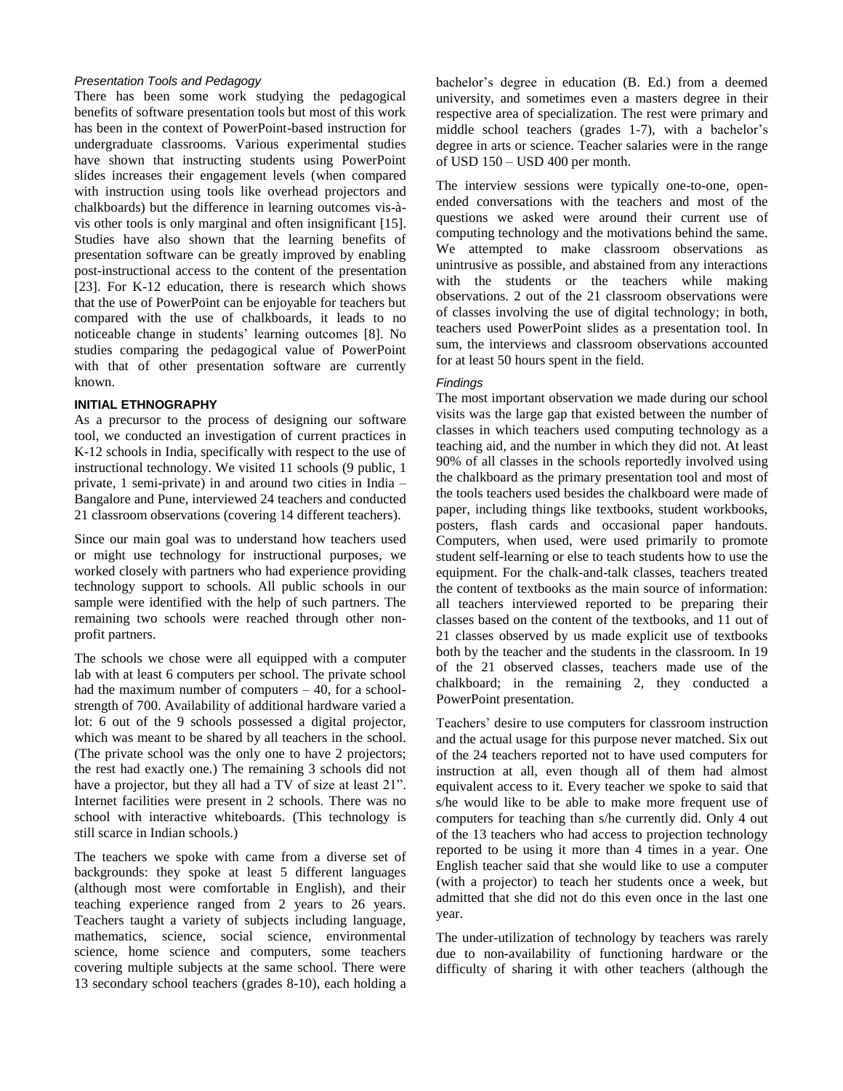## *Presentation Tools and Pedagogy*

There has been some work studying the pedagogical benefits of software presentation tools but most of this work has been in the context of PowerPoint-based instruction for undergraduate classrooms. Various experimental studies have shown that instructing students using PowerPoint slides increases their engagement levels (when compared with instruction using tools like overhead projectors and chalkboards) but the difference in learning outcomes vis-àvis other tools is only marginal and often insignificant [15]. Studies have also shown that the learning benefits of presentation software can be greatly improved by enabling post-instructional access to the content of the presentation [23]. For K-12 education, there is research which shows that the use of PowerPoint can be enjoyable for teachers but compared with the use of chalkboards, it leads to no noticeable change in students" learning outcomes [8]. No studies comparing the pedagogical value of PowerPoint with that of other presentation software are currently known.

# **INITIAL ETHNOGRAPHY**

As a precursor to the process of designing our software tool, we conducted an investigation of current practices in K-12 schools in India, specifically with respect to the use of instructional technology. We visited 11 schools (9 public, 1 private, 1 semi-private) in and around two cities in India – Bangalore and Pune, interviewed 24 teachers and conducted 21 classroom observations (covering 14 different teachers).

Since our main goal was to understand how teachers used or might use technology for instructional purposes, we worked closely with partners who had experience providing technology support to schools. All public schools in our sample were identified with the help of such partners. The remaining two schools were reached through other nonprofit partners.

The schools we chose were all equipped with a computer lab with at least 6 computers per school. The private school had the maximum number of computers  $-40$ , for a schoolstrength of 700. Availability of additional hardware varied a lot: 6 out of the 9 schools possessed a digital projector, which was meant to be shared by all teachers in the school. (The private school was the only one to have 2 projectors; the rest had exactly one.) The remaining 3 schools did not have a projector, but they all had a TV of size at least 21". Internet facilities were present in 2 schools. There was no school with interactive whiteboards. (This technology is still scarce in Indian schools.)

The teachers we spoke with came from a diverse set of backgrounds: they spoke at least 5 different languages (although most were comfortable in English), and their teaching experience ranged from 2 years to 26 years. Teachers taught a variety of subjects including language, mathematics, science, social science, environmental science, home science and computers, some teachers covering multiple subjects at the same school. There were 13 secondary school teachers (grades 8-10), each holding a

bachelor's degree in education (B. Ed.) from a deemed university, and sometimes even a masters degree in their respective area of specialization. The rest were primary and middle school teachers (grades 1-7), with a bachelor's degree in arts or science. Teacher salaries were in the range of USD 150 – USD 400 per month.

The interview sessions were typically one-to-one, openended conversations with the teachers and most of the questions we asked were around their current use of computing technology and the motivations behind the same. We attempted to make classroom observations as unintrusive as possible, and abstained from any interactions with the students or the teachers while making observations. 2 out of the 21 classroom observations were of classes involving the use of digital technology; in both, teachers used PowerPoint slides as a presentation tool. In sum, the interviews and classroom observations accounted for at least 50 hours spent in the field.

## *Findings*

The most important observation we made during our school visits was the large gap that existed between the number of classes in which teachers used computing technology as a teaching aid, and the number in which they did not. At least 90% of all classes in the schools reportedly involved using the chalkboard as the primary presentation tool and most of the tools teachers used besides the chalkboard were made of paper, including things like textbooks, student workbooks, posters, flash cards and occasional paper handouts. Computers, when used, were used primarily to promote student self-learning or else to teach students how to use the equipment. For the chalk-and-talk classes, teachers treated the content of textbooks as the main source of information: all teachers interviewed reported to be preparing their classes based on the content of the textbooks, and 11 out of 21 classes observed by us made explicit use of textbooks both by the teacher and the students in the classroom. In 19 of the 21 observed classes, teachers made use of the chalkboard; in the remaining 2, they conducted a PowerPoint presentation.

Teachers" desire to use computers for classroom instruction and the actual usage for this purpose never matched. Six out of the 24 teachers reported not to have used computers for instruction at all, even though all of them had almost equivalent access to it. Every teacher we spoke to said that s/he would like to be able to make more frequent use of computers for teaching than s/he currently did. Only 4 out of the 13 teachers who had access to projection technology reported to be using it more than 4 times in a year. One English teacher said that she would like to use a computer (with a projector) to teach her students once a week, but admitted that she did not do this even once in the last one year.

The under-utilization of technology by teachers was rarely due to non-availability of functioning hardware or the difficulty of sharing it with other teachers (although the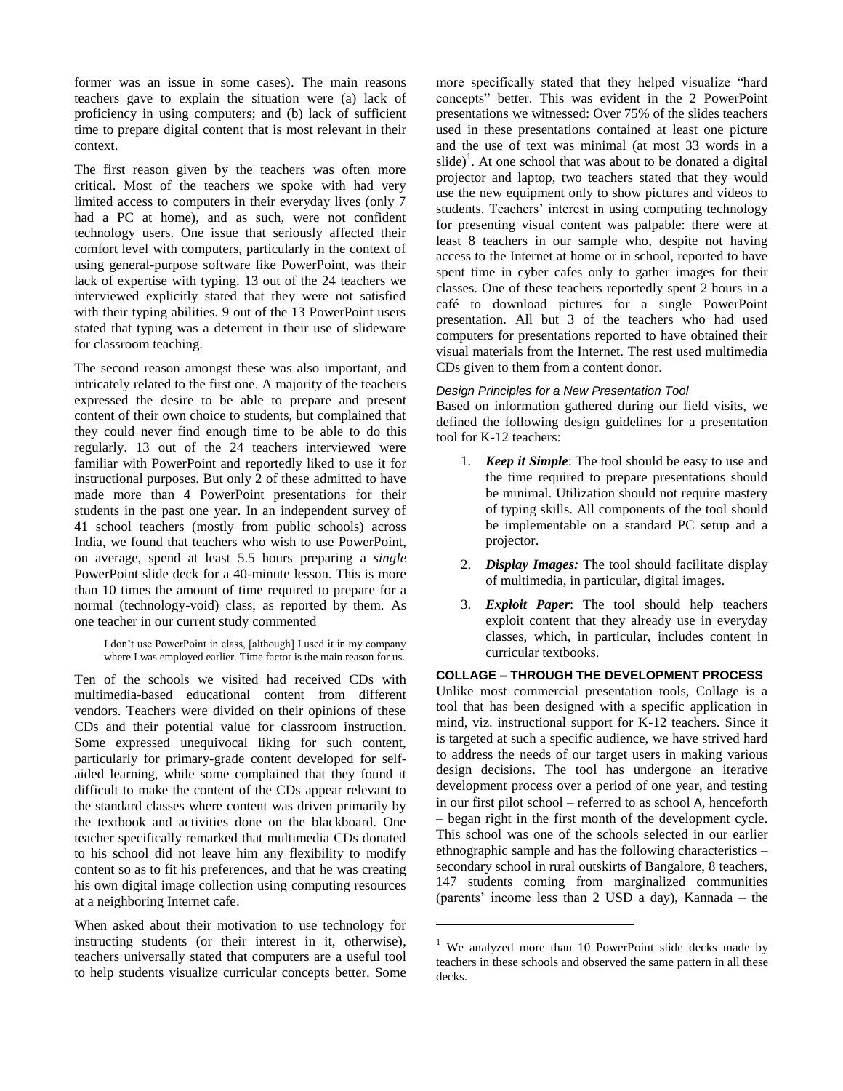former was an issue in some cases). The main reasons teachers gave to explain the situation were (a) lack of proficiency in using computers; and (b) lack of sufficient time to prepare digital content that is most relevant in their context.

The first reason given by the teachers was often more critical. Most of the teachers we spoke with had very limited access to computers in their everyday lives (only 7 had a PC at home), and as such, were not confident technology users. One issue that seriously affected their comfort level with computers, particularly in the context of using general-purpose software like PowerPoint, was their lack of expertise with typing. 13 out of the 24 teachers we interviewed explicitly stated that they were not satisfied with their typing abilities. 9 out of the 13 PowerPoint users stated that typing was a deterrent in their use of slideware for classroom teaching.

The second reason amongst these was also important, and intricately related to the first one. A majority of the teachers expressed the desire to be able to prepare and present content of their own choice to students, but complained that they could never find enough time to be able to do this regularly. 13 out of the 24 teachers interviewed were familiar with PowerPoint and reportedly liked to use it for instructional purposes. But only 2 of these admitted to have made more than 4 PowerPoint presentations for their students in the past one year. In an independent survey of 41 school teachers (mostly from public schools) across India, we found that teachers who wish to use PowerPoint, on average, spend at least 5.5 hours preparing a *single* PowerPoint slide deck for a 40-minute lesson. This is more than 10 times the amount of time required to prepare for a normal (technology-void) class, as reported by them. As one teacher in our current study commented

I don"t use PowerPoint in class, [although] I used it in my company where I was employed earlier. Time factor is the main reason for us.

Ten of the schools we visited had received CDs with multimedia-based educational content from different vendors. Teachers were divided on their opinions of these CDs and their potential value for classroom instruction. Some expressed unequivocal liking for such content, particularly for primary-grade content developed for selfaided learning, while some complained that they found it difficult to make the content of the CDs appear relevant to the standard classes where content was driven primarily by the textbook and activities done on the blackboard. One teacher specifically remarked that multimedia CDs donated to his school did not leave him any flexibility to modify content so as to fit his preferences, and that he was creating his own digital image collection using computing resources at a neighboring Internet cafe.

When asked about their motivation to use technology for instructing students (or their interest in it, otherwise), teachers universally stated that computers are a useful tool to help students visualize curricular concepts better. Some more specifically stated that they helped visualize "hard concepts" better. This was evident in the 2 PowerPoint presentations we witnessed: Over 75% of the slides teachers used in these presentations contained at least one picture and the use of text was minimal (at most 33 words in a slide)<sup>1</sup>. At one school that was about to be donated a digital projector and laptop, two teachers stated that they would use the new equipment only to show pictures and videos to students. Teachers' interest in using computing technology for presenting visual content was palpable: there were at least 8 teachers in our sample who, despite not having access to the Internet at home or in school, reported to have spent time in cyber cafes only to gather images for their classes. One of these teachers reportedly spent 2 hours in a café to download pictures for a single PowerPoint presentation. All but 3 of the teachers who had used computers for presentations reported to have obtained their visual materials from the Internet. The rest used multimedia CDs given to them from a content donor.

# *Design Principles for a New Presentation Tool*

Based on information gathered during our field visits, we defined the following design guidelines for a presentation tool for K-12 teachers:

- 1. *Keep it Simple*: The tool should be easy to use and the time required to prepare presentations should be minimal. Utilization should not require mastery of typing skills. All components of the tool should be implementable on a standard PC setup and a projector.
- 2. *Display Images:* The tool should facilitate display of multimedia, in particular, digital images.
- 3. *Exploit Paper*: The tool should help teachers exploit content that they already use in everyday classes, which, in particular, includes content in curricular textbooks.

# **COLLAGE – THROUGH THE DEVELOPMENT PROCESS**

Unlike most commercial presentation tools, Collage is a tool that has been designed with a specific application in mind, viz. instructional support for K-12 teachers. Since it is targeted at such a specific audience, we have strived hard to address the needs of our target users in making various design decisions. The tool has undergone an iterative development process over a period of one year, and testing in our first pilot school – referred to as school A, henceforth – began right in the first month of the development cycle. This school was one of the schools selected in our earlier ethnographic sample and has the following characteristics – secondary school in rural outskirts of Bangalore, 8 teachers, 147 students coming from marginalized communities (parents' income less than 2 USD a day), Kannada – the

l

 $1$  We analyzed more than 10 PowerPoint slide decks made by teachers in these schools and observed the same pattern in all these decks.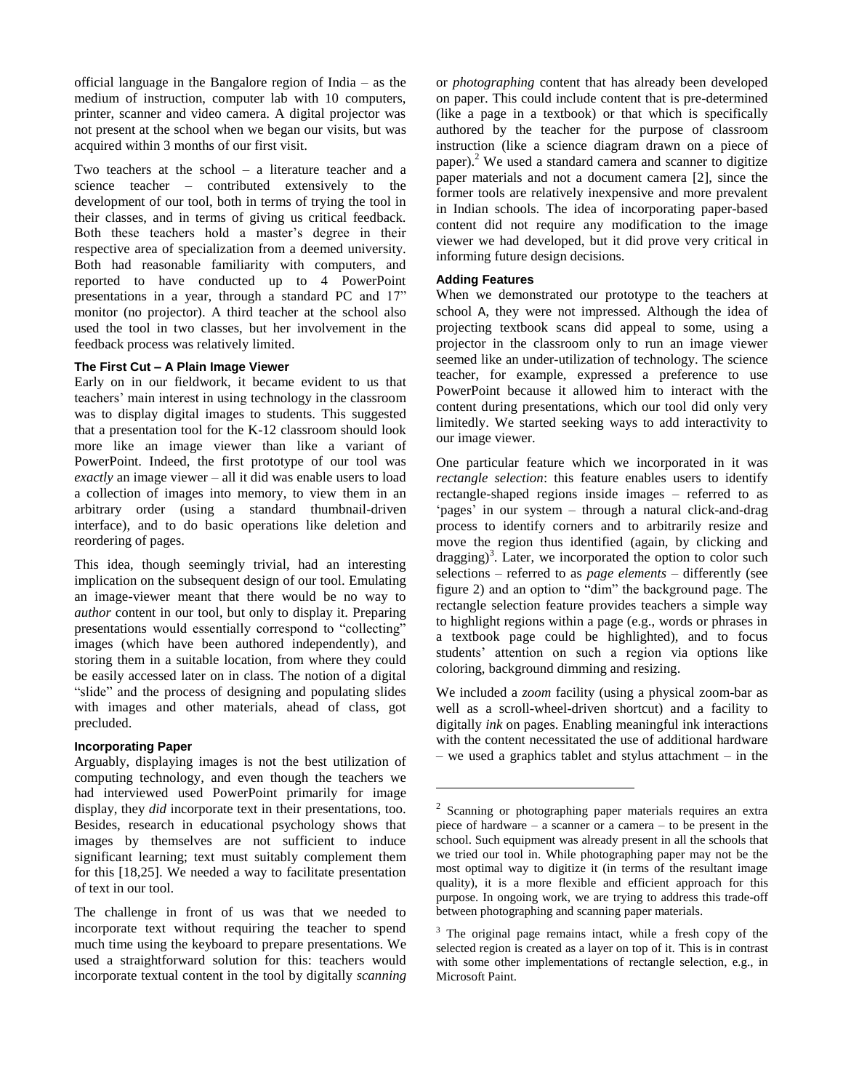official language in the Bangalore region of India – as the medium of instruction, computer lab with 10 computers, printer, scanner and video camera. A digital projector was not present at the school when we began our visits, but was acquired within 3 months of our first visit.

Two teachers at the school – a literature teacher and a science teacher – contributed extensively to the development of our tool, both in terms of trying the tool in their classes, and in terms of giving us critical feedback. Both these teachers hold a master's degree in their respective area of specialization from a deemed university. Both had reasonable familiarity with computers, and reported to have conducted up to 4 PowerPoint presentations in a year, through a standard PC and 17" monitor (no projector). A third teacher at the school also used the tool in two classes, but her involvement in the feedback process was relatively limited.

## **The First Cut – A Plain Image Viewer**

Early on in our fieldwork, it became evident to us that teachers" main interest in using technology in the classroom was to display digital images to students. This suggested that a presentation tool for the K-12 classroom should look more like an image viewer than like a variant of PowerPoint. Indeed, the first prototype of our tool was *exactly* an image viewer – all it did was enable users to load a collection of images into memory, to view them in an arbitrary order (using a standard thumbnail-driven interface), and to do basic operations like deletion and reordering of pages.

This idea, though seemingly trivial, had an interesting implication on the subsequent design of our tool. Emulating an image-viewer meant that there would be no way to *author* content in our tool, but only to display it. Preparing presentations would essentially correspond to "collecting" images (which have been authored independently), and storing them in a suitable location, from where they could be easily accessed later on in class. The notion of a digital "slide" and the process of designing and populating slides with images and other materials, ahead of class, got precluded.

## **Incorporating Paper**

Arguably, displaying images is not the best utilization of computing technology, and even though the teachers we had interviewed used PowerPoint primarily for image display, they *did* incorporate text in their presentations, too. Besides, research in educational psychology shows that images by themselves are not sufficient to induce significant learning; text must suitably complement them for this [18,25]. We needed a way to facilitate presentation of text in our tool.

The challenge in front of us was that we needed to incorporate text without requiring the teacher to spend much time using the keyboard to prepare presentations. We used a straightforward solution for this: teachers would incorporate textual content in the tool by digitally *scanning* or *photographing* content that has already been developed on paper. This could include content that is pre-determined (like a page in a textbook) or that which is specifically authored by the teacher for the purpose of classroom instruction (like a science diagram drawn on a piece of paper).<sup>2</sup> We used a standard camera and scanner to digitize paper materials and not a document camera [2], since the former tools are relatively inexpensive and more prevalent in Indian schools. The idea of incorporating paper-based content did not require any modification to the image viewer we had developed, but it did prove very critical in informing future design decisions.

# **Adding Features**

l

When we demonstrated our prototype to the teachers at school A, they were not impressed. Although the idea of projecting textbook scans did appeal to some, using a projector in the classroom only to run an image viewer seemed like an under-utilization of technology. The science teacher, for example, expressed a preference to use PowerPoint because it allowed him to interact with the content during presentations, which our tool did only very limitedly. We started seeking ways to add interactivity to our image viewer.

One particular feature which we incorporated in it was *rectangle selection*: this feature enables users to identify rectangle-shaped regions inside images – referred to as 'pages' in our system – through a natural click-and-drag process to identify corners and to arbitrarily resize and move the region thus identified (again, by clicking and dragging)<sup>3</sup>. Later, we incorporated the option to color such selections – referred to as *page elements* – differently (see figure 2) and an option to "dim" the background page. The rectangle selection feature provides teachers a simple way to highlight regions within a page (e.g., words or phrases in a textbook page could be highlighted), and to focus students" attention on such a region via options like coloring, background dimming and resizing.

We included a *zoom* facility (using a physical zoom-bar as well as a scroll-wheel-driven shortcut) and a facility to digitally *ink* on pages. Enabling meaningful ink interactions with the content necessitated the use of additional hardware – we used a graphics tablet and stylus attachment – in the

<sup>&</sup>lt;sup>2</sup> Scanning or photographing paper materials requires an extra piece of hardware – a scanner or a camera – to be present in the school. Such equipment was already present in all the schools that we tried our tool in. While photographing paper may not be the most optimal way to digitize it (in terms of the resultant image quality), it is a more flexible and efficient approach for this purpose. In ongoing work, we are trying to address this trade-off between photographing and scanning paper materials.

 $3$  The original page remains intact, while a fresh copy of the selected region is created as a layer on top of it. This is in contrast with some other implementations of rectangle selection, e.g., in Microsoft Paint.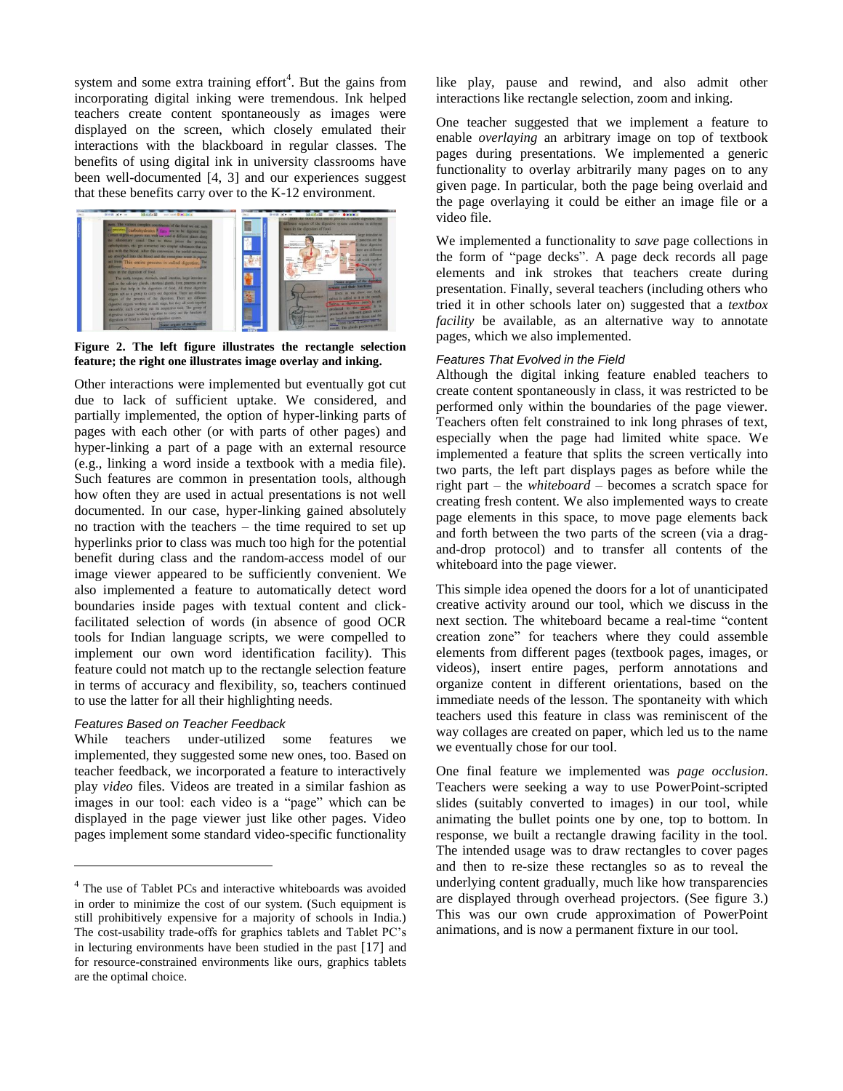system and some extra training effort<sup>4</sup>. But the gains from incorporating digital inking were tremendous. Ink helped teachers create content spontaneously as images were displayed on the screen, which closely emulated their interactions with the blackboard in regular classes. The benefits of using digital ink in university classrooms have been well-documented [4, 3] and our experiences suggest that these benefits carry over to the K-12 environment.



**Figure 2. The left figure illustrates the rectangle selection feature; the right one illustrates image overlay and inking.**

Other interactions were implemented but eventually got cut due to lack of sufficient uptake. We considered, and partially implemented, the option of hyper-linking parts of pages with each other (or with parts of other pages) and hyper-linking a part of a page with an external resource (e.g., linking a word inside a textbook with a media file). Such features are common in presentation tools, although how often they are used in actual presentations is not well documented. In our case, hyper-linking gained absolutely no traction with the teachers – the time required to set up hyperlinks prior to class was much too high for the potential benefit during class and the random-access model of our image viewer appeared to be sufficiently convenient. We also implemented a feature to automatically detect word boundaries inside pages with textual content and clickfacilitated selection of words (in absence of good OCR tools for Indian language scripts, we were compelled to implement our own word identification facility). This feature could not match up to the rectangle selection feature in terms of accuracy and flexibility, so, teachers continued to use the latter for all their highlighting needs.

# *Features Based on Teacher Feedback*

 $\overline{a}$ 

While teachers under-utilized some features we implemented, they suggested some new ones, too. Based on teacher feedback, we incorporated a feature to interactively play *video* files. Videos are treated in a similar fashion as images in our tool: each video is a "page" which can be displayed in the page viewer just like other pages. Video pages implement some standard video-specific functionality

like play, pause and rewind, and also admit other interactions like rectangle selection, zoom and inking.

One teacher suggested that we implement a feature to enable *overlaying* an arbitrary image on top of textbook pages during presentations. We implemented a generic functionality to overlay arbitrarily many pages on to any given page. In particular, both the page being overlaid and the page overlaying it could be either an image file or a video file.

We implemented a functionality to *save* page collections in the form of "page decks". A page deck records all page elements and ink strokes that teachers create during presentation. Finally, several teachers (including others who tried it in other schools later on) suggested that a *textbox facility* be available, as an alternative way to annotate pages, which we also implemented.

## *Features That Evolved in the Field*

Although the digital inking feature enabled teachers to create content spontaneously in class, it was restricted to be performed only within the boundaries of the page viewer. Teachers often felt constrained to ink long phrases of text, especially when the page had limited white space. We implemented a feature that splits the screen vertically into two parts, the left part displays pages as before while the right part – the *whiteboard* – becomes a scratch space for creating fresh content. We also implemented ways to create page elements in this space, to move page elements back and forth between the two parts of the screen (via a dragand-drop protocol) and to transfer all contents of the whiteboard into the page viewer.

This simple idea opened the doors for a lot of unanticipated creative activity around our tool, which we discuss in the next section. The whiteboard became a real-time "content creation zone" for teachers where they could assemble elements from different pages (textbook pages, images, or videos), insert entire pages, perform annotations and organize content in different orientations, based on the immediate needs of the lesson. The spontaneity with which teachers used this feature in class was reminiscent of the way collages are created on paper, which led us to the name we eventually chose for our tool.

One final feature we implemented was *page occlusion*. Teachers were seeking a way to use PowerPoint-scripted slides (suitably converted to images) in our tool, while animating the bullet points one by one, top to bottom. In response, we built a rectangle drawing facility in the tool. The intended usage was to draw rectangles to cover pages and then to re-size these rectangles so as to reveal the underlying content gradually, much like how transparencies are displayed through overhead projectors. (See figure 3.) This was our own crude approximation of PowerPoint animations, and is now a permanent fixture in our tool.

<sup>&</sup>lt;sup>4</sup> The use of Tablet PCs and interactive whiteboards was avoided in order to minimize the cost of our system. (Such equipment is still prohibitively expensive for a majority of schools in India.) The cost-usability trade-offs for graphics tablets and Tablet PC"s in lecturing environments have been studied in the past [17] and for resource-constrained environments like ours, graphics tablets are the optimal choice.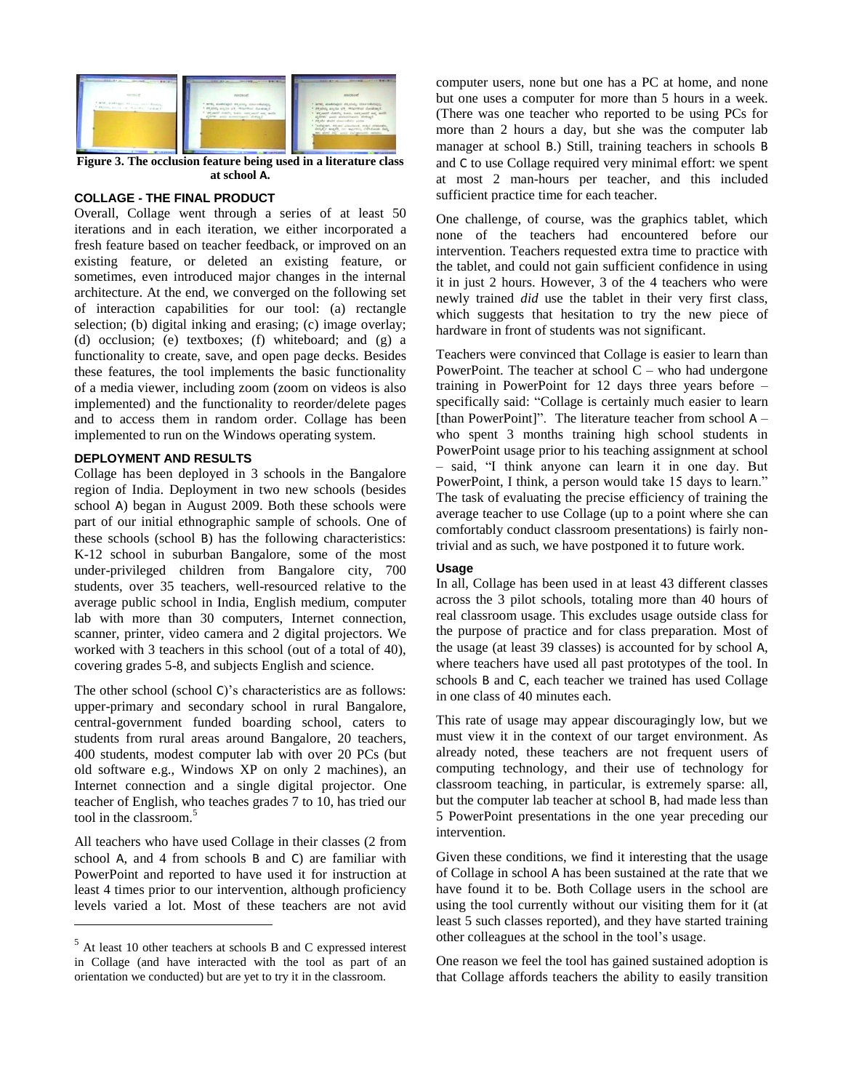

**Figure 3. The occlusion feature being used in a literature class at school A.**

# **COLLAGE - THE FINAL PRODUCT**

Overall, Collage went through a series of at least 50 iterations and in each iteration, we either incorporated a fresh feature based on teacher feedback, or improved on an existing feature, or deleted an existing feature, or sometimes, even introduced major changes in the internal architecture. At the end, we converged on the following set of interaction capabilities for our tool: (a) rectangle selection; (b) digital inking and erasing; (c) image overlay; (d) occlusion; (e) textboxes; (f) whiteboard; and (g) a functionality to create, save, and open page decks. Besides these features, the tool implements the basic functionality of a media viewer, including zoom (zoom on videos is also implemented) and the functionality to reorder/delete pages and to access them in random order. Collage has been implemented to run on the Windows operating system.

#### **DEPLOYMENT AND RESULTS**

Collage has been deployed in 3 schools in the Bangalore region of India. Deployment in two new schools (besides school A) began in August 2009. Both these schools were part of our initial ethnographic sample of schools. One of these schools (school B) has the following characteristics: K-12 school in suburban Bangalore, some of the most under-privileged children from Bangalore city, 700 students, over 35 teachers, well-resourced relative to the average public school in India, English medium, computer lab with more than 30 computers, Internet connection, scanner, printer, video camera and 2 digital projectors. We worked with 3 teachers in this school (out of a total of 40), covering grades 5-8, and subjects English and science.

The other school (school C)"s characteristics are as follows: upper-primary and secondary school in rural Bangalore, central-government funded boarding school, caters to students from rural areas around Bangalore, 20 teachers, 400 students, modest computer lab with over 20 PCs (but old software e.g., Windows XP on only 2 machines), an Internet connection and a single digital projector. One teacher of English, who teaches grades 7 to 10, has tried our tool in the classroom.<sup>5</sup>

All teachers who have used Collage in their classes (2 from school A, and 4 from schools B and C) are familiar with PowerPoint and reported to have used it for instruction at least 4 times prior to our intervention, although proficiency levels varied a lot. Most of these teachers are not avid

l

computer users, none but one has a PC at home, and none but one uses a computer for more than 5 hours in a week. (There was one teacher who reported to be using PCs for more than 2 hours a day, but she was the computer lab manager at school B.) Still, training teachers in schools B and C to use Collage required very minimal effort: we spent at most 2 man-hours per teacher, and this included sufficient practice time for each teacher.

One challenge, of course, was the graphics tablet, which none of the teachers had encountered before our intervention. Teachers requested extra time to practice with the tablet, and could not gain sufficient confidence in using it in just 2 hours. However, 3 of the 4 teachers who were newly trained *did* use the tablet in their very first class, which suggests that hesitation to try the new piece of hardware in front of students was not significant.

Teachers were convinced that Collage is easier to learn than PowerPoint. The teacher at school  $C$  – who had undergone training in PowerPoint for 12 days three years before – specifically said: "Collage is certainly much easier to learn [than PowerPoint]". The literature teacher from school  $A$ who spent 3 months training high school students in PowerPoint usage prior to his teaching assignment at school – said, "I think anyone can learn it in one day. But PowerPoint, I think, a person would take 15 days to learn." The task of evaluating the precise efficiency of training the average teacher to use Collage (up to a point where she can comfortably conduct classroom presentations) is fairly nontrivial and as such, we have postponed it to future work.

# **Usage**

In all, Collage has been used in at least 43 different classes across the 3 pilot schools, totaling more than 40 hours of real classroom usage. This excludes usage outside class for the purpose of practice and for class preparation. Most of the usage (at least 39 classes) is accounted for by school A, where teachers have used all past prototypes of the tool. In schools B and C, each teacher we trained has used Collage in one class of 40 minutes each.

This rate of usage may appear discouragingly low, but we must view it in the context of our target environment. As already noted, these teachers are not frequent users of computing technology, and their use of technology for classroom teaching, in particular, is extremely sparse: all, but the computer lab teacher at school B, had made less than 5 PowerPoint presentations in the one year preceding our intervention.

Given these conditions, we find it interesting that the usage of Collage in school A has been sustained at the rate that we have found it to be. Both Collage users in the school are using the tool currently without our visiting them for it (at least 5 such classes reported), and they have started training other colleagues at the school in the tool"s usage.

One reason we feel the tool has gained sustained adoption is that Collage affords teachers the ability to easily transition

<sup>5</sup> At least 10 other teachers at schools B and C expressed interest in Collage (and have interacted with the tool as part of an orientation we conducted) but are yet to try it in the classroom.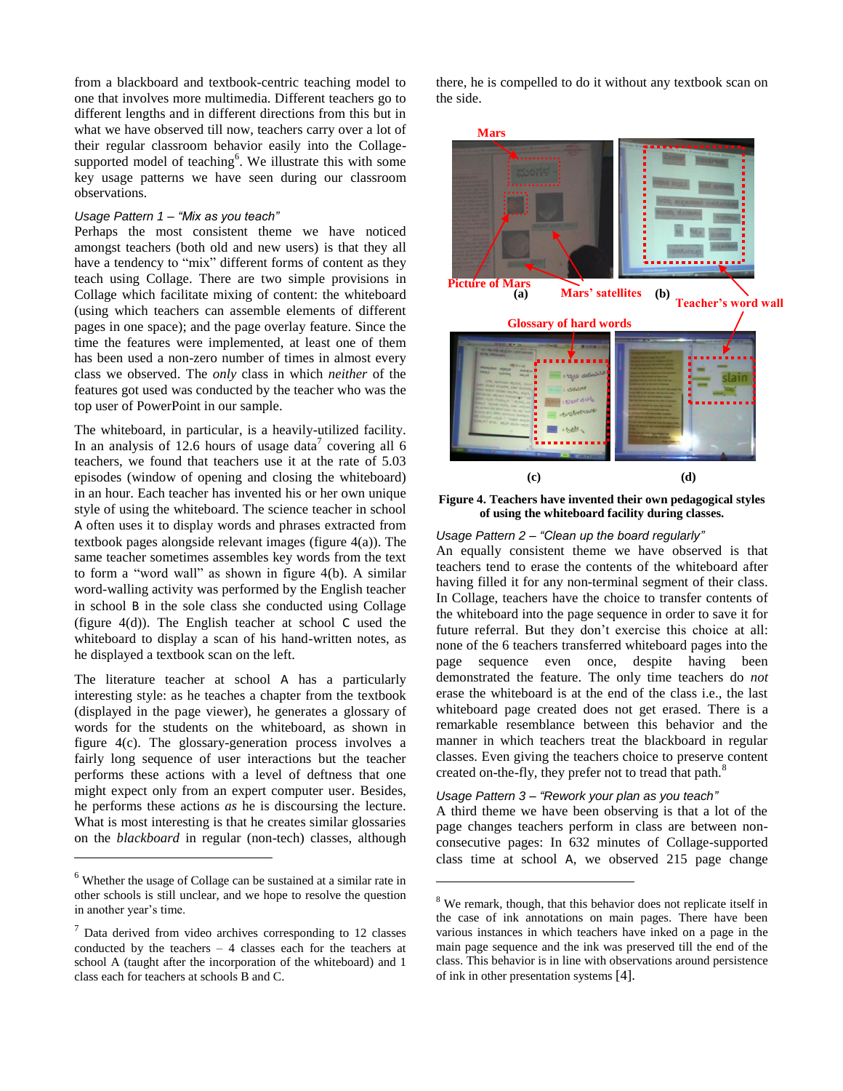from a blackboard and textbook-centric teaching model to one that involves more multimedia. Different teachers go to different lengths and in different directions from this but in what we have observed till now, teachers carry over a lot of their regular classroom behavior easily into the Collagesupported model of teaching<sup>6</sup>. We illustrate this with some key usage patterns we have seen during our classroom observations.

#### *Usage Pattern 1 – "Mix as you teach"*

Perhaps the most consistent theme we have noticed amongst teachers (both old and new users) is that they all have a tendency to "mix" different forms of content as they teach using Collage. There are two simple provisions in Collage which facilitate mixing of content: the whiteboard (using which teachers can assemble elements of different pages in one space); and the page overlay feature. Since the time the features were implemented, at least one of them has been used a non-zero number of times in almost every class we observed. The *only* class in which *neither* of the features got used was conducted by the teacher who was the top user of PowerPoint in our sample.

The whiteboard, in particular, is a heavily-utilized facility. In an analysis of 12.6 hours of usage data<sup>7</sup> covering all 6 teachers, we found that teachers use it at the rate of 5.03 episodes (window of opening and closing the whiteboard) in an hour. Each teacher has invented his or her own unique style of using the whiteboard. The science teacher in school A often uses it to display words and phrases extracted from textbook pages alongside relevant images (figure 4(a)). The same teacher sometimes assembles key words from the text to form a "word wall" as shown in figure 4(b). A similar word-walling activity was performed by the English teacher in school B in the sole class she conducted using Collage (figure 4(d)). The English teacher at school C used the whiteboard to display a scan of his hand-written notes, as he displayed a textbook scan on the left.

The literature teacher at school A has a particularly interesting style: as he teaches a chapter from the textbook (displayed in the page viewer), he generates a glossary of words for the students on the whiteboard, as shown in figure 4(c). The glossary-generation process involves a fairly long sequence of user interactions but the teacher performs these actions with a level of deftness that one might expect only from an expert computer user. Besides, he performs these actions *as* he is discoursing the lecture. What is most interesting is that he creates similar glossaries on the *blackboard* in regular (non-tech) classes, although

 $\overline{a}$ 

there, he is compelled to do it without any textbook scan on the side.



**Figure 4. Teachers have invented their own pedagogical styles of using the whiteboard facility during classes.** 

# *Usage Pattern 2 – "Clean up the board regularly"*

An equally consistent theme we have observed is that teachers tend to erase the contents of the whiteboard after having filled it for any non-terminal segment of their class. In Collage, teachers have the choice to transfer contents of the whiteboard into the page sequence in order to save it for future referral. But they don"t exercise this choice at all: none of the 6 teachers transferred whiteboard pages into the page sequence even once, despite having been demonstrated the feature. The only time teachers do *not*  erase the whiteboard is at the end of the class i.e., the last whiteboard page created does not get erased. There is a remarkable resemblance between this behavior and the manner in which teachers treat the blackboard in regular classes. Even giving the teachers choice to preserve content created on-the-fly, they prefer not to tread that path.<sup>8</sup>

# *Usage Pattern 3 – "Rework your plan as you teach"*

l

A third theme we have been observing is that a lot of the page changes teachers perform in class are between nonconsecutive pages: In 632 minutes of Collage-supported class time at school A, we observed 215 page change

 $6$  Whether the usage of Collage can be sustained at a similar rate in other schools is still unclear, and we hope to resolve the question in another year"s time.

 $7$  Data derived from video archives corresponding to 12 classes conducted by the teachers – 4 classes each for the teachers at school A (taught after the incorporation of the whiteboard) and 1 class each for teachers at schools B and C.

<sup>&</sup>lt;sup>8</sup> We remark, though, that this behavior does not replicate itself in the case of ink annotations on main pages. There have been various instances in which teachers have inked on a page in the main page sequence and the ink was preserved till the end of the class. This behavior is in line with observations around persistence of ink in other presentation systems [4].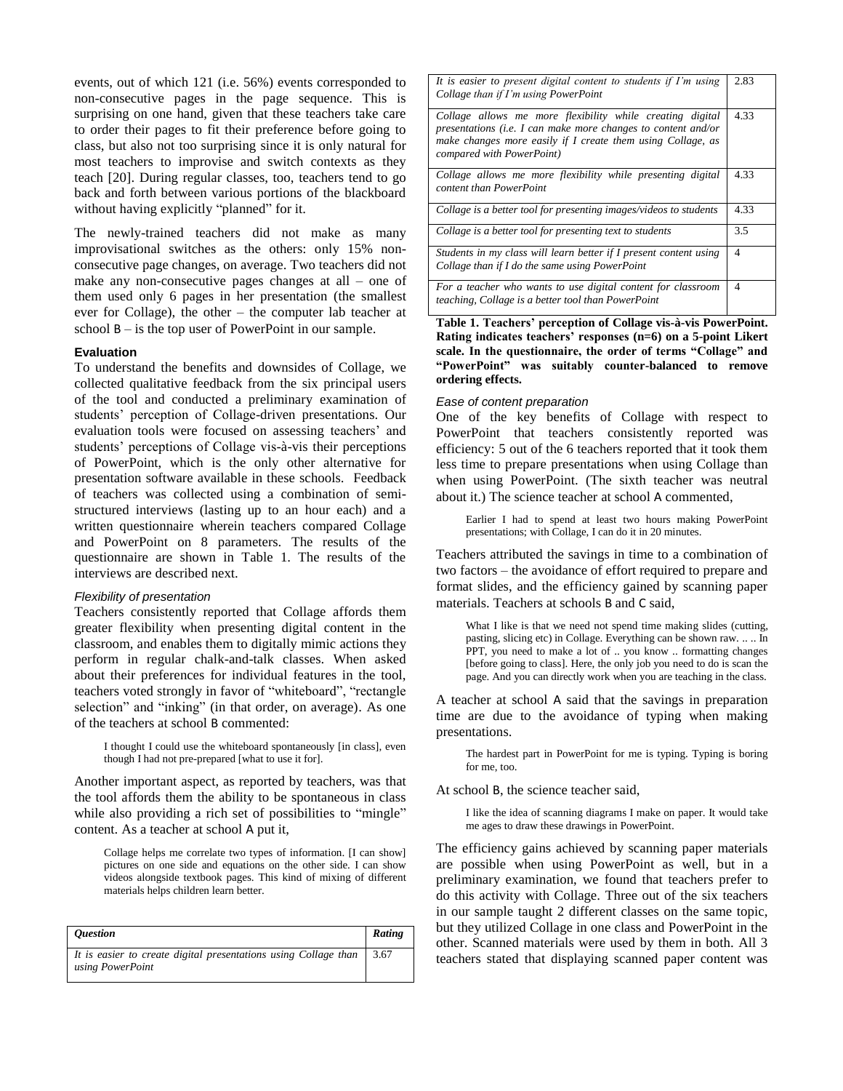events, out of which 121 (i.e. 56%) events corresponded to non-consecutive pages in the page sequence. This is surprising on one hand, given that these teachers take care to order their pages to fit their preference before going to class, but also not too surprising since it is only natural for most teachers to improvise and switch contexts as they teach [20]. During regular classes, too, teachers tend to go back and forth between various portions of the blackboard without having explicitly "planned" for it.

The newly-trained teachers did not make as many improvisational switches as the others: only 15% nonconsecutive page changes, on average. Two teachers did not make any non-consecutive pages changes at all – one of them used only 6 pages in her presentation (the smallest ever for Collage), the other – the computer lab teacher at school  $B -$  is the top user of PowerPoint in our sample.

#### **Evaluation**

To understand the benefits and downsides of Collage, we collected qualitative feedback from the six principal users of the tool and conducted a preliminary examination of students" perception of Collage-driven presentations. Our evaluation tools were focused on assessing teachers" and students" perceptions of Collage vis-à-vis their perceptions of PowerPoint, which is the only other alternative for presentation software available in these schools. Feedback of teachers was collected using a combination of semistructured interviews (lasting up to an hour each) and a written questionnaire wherein teachers compared Collage and PowerPoint on 8 parameters. The results of the questionnaire are shown in Table 1. The results of the interviews are described next.

#### *Flexibility of presentation*

Teachers consistently reported that Collage affords them greater flexibility when presenting digital content in the classroom, and enables them to digitally mimic actions they perform in regular chalk-and-talk classes. When asked about their preferences for individual features in the tool, teachers voted strongly in favor of "whiteboard", "rectangle selection" and "inking" (in that order, on average). As one of the teachers at school B commented:

I thought I could use the whiteboard spontaneously [in class], even though I had not pre-prepared [what to use it for].

Another important aspect, as reported by teachers, was that the tool affords them the ability to be spontaneous in class while also providing a rich set of possibilities to "mingle" content. As a teacher at school A put it,

Collage helps me correlate two types of information. [I can show] pictures on one side and equations on the other side. I can show videos alongside textbook pages. This kind of mixing of different materials helps children learn better.

| <i><b>Ouestion</b></i>                                                                           | Rating |
|--------------------------------------------------------------------------------------------------|--------|
| It is easier to create digital presentations using Collage than $\vert$ 3.67<br>using PowerPoint |        |

| It is easier to present digital content to students if I'm using<br>Collage than if I'm using PowerPoint                                                                                                               | 2.83 |
|------------------------------------------------------------------------------------------------------------------------------------------------------------------------------------------------------------------------|------|
| Collage allows me more flexibility while creating digital<br>presentations (i.e. I can make more changes to content and/or<br>make changes more easily if I create them using Collage, as<br>compared with PowerPoint) | 4.33 |
| Collage allows me more flexibility while presenting digital<br>content than PowerPoint                                                                                                                                 | 4.33 |
| Collage is a better tool for presenting images/videos to students                                                                                                                                                      | 4.33 |
| Collage is a better tool for presenting text to students                                                                                                                                                               | 3.5  |
| Students in my class will learn better if I present content using<br>Collage than if I do the same using PowerPoint                                                                                                    | 4    |
| For a teacher who wants to use digital content for classroom<br>teaching, Collage is a better tool than PowerPoint                                                                                                     | 4    |

**Table 1. Teachers' perception of Collage vis-à-vis PowerPoint. Rating indicates teachers' responses (n=6) on a 5-point Likert scale. In the questionnaire, the order of terms "Collage" and "PowerPoint" was suitably counter-balanced to remove ordering effects.**

#### *Ease of content preparation*

One of the key benefits of Collage with respect to PowerPoint that teachers consistently reported was efficiency: 5 out of the 6 teachers reported that it took them less time to prepare presentations when using Collage than when using PowerPoint. (The sixth teacher was neutral about it.) The science teacher at school A commented,

Earlier I had to spend at least two hours making PowerPoint presentations; with Collage, I can do it in 20 minutes.

Teachers attributed the savings in time to a combination of two factors – the avoidance of effort required to prepare and format slides, and the efficiency gained by scanning paper materials. Teachers at schools B and C said,

What I like is that we need not spend time making slides (cutting, pasting, slicing etc) in Collage. Everything can be shown raw. .. .. In PPT, you need to make a lot of .. you know .. formatting changes [before going to class]. Here, the only job you need to do is scan the page. And you can directly work when you are teaching in the class.

A teacher at school A said that the savings in preparation time are due to the avoidance of typing when making presentations.

The hardest part in PowerPoint for me is typing. Typing is boring for me, too.

At school B, the science teacher said,

I like the idea of scanning diagrams I make on paper. It would take me ages to draw these drawings in PowerPoint.

The efficiency gains achieved by scanning paper materials are possible when using PowerPoint as well, but in a preliminary examination, we found that teachers prefer to do this activity with Collage. Three out of the six teachers in our sample taught 2 different classes on the same topic, but they utilized Collage in one class and PowerPoint in the other. Scanned materials were used by them in both. All 3 teachers stated that displaying scanned paper content was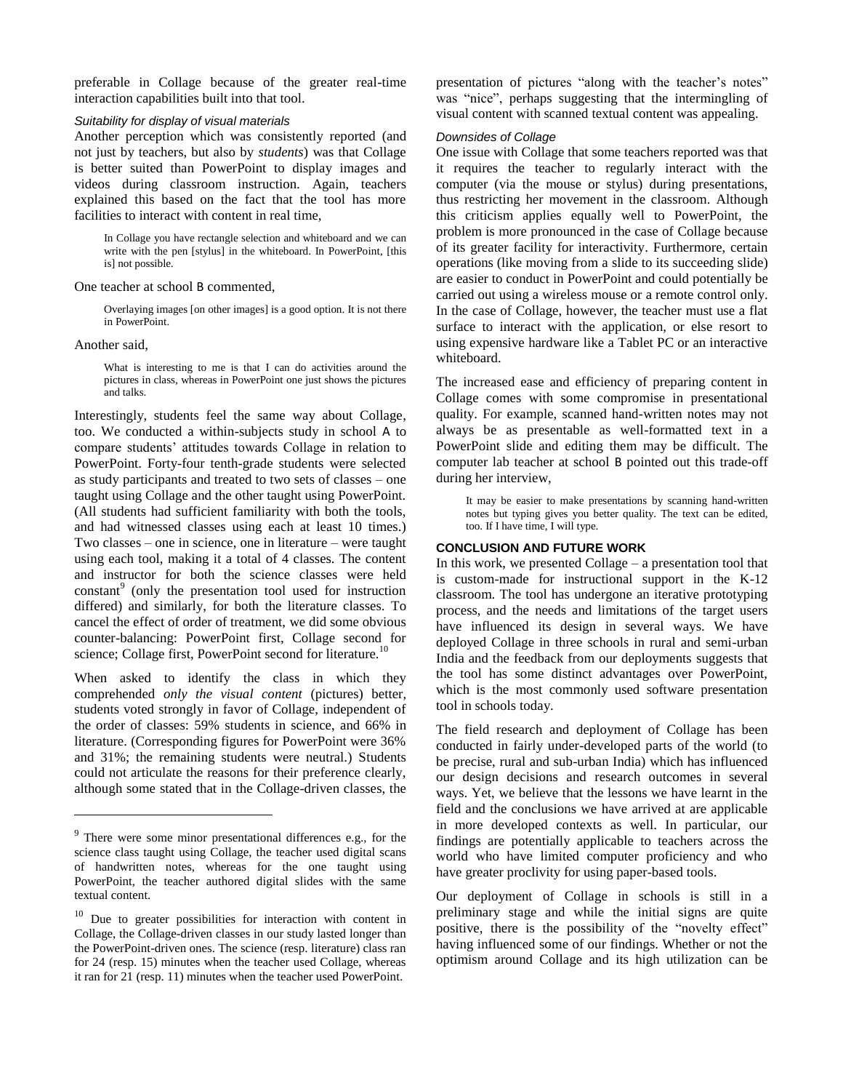preferable in Collage because of the greater real-time interaction capabilities built into that tool.

# *Suitability for display of visual materials*

Another perception which was consistently reported (and not just by teachers, but also by *students*) was that Collage is better suited than PowerPoint to display images and videos during classroom instruction. Again, teachers explained this based on the fact that the tool has more facilities to interact with content in real time,

In Collage you have rectangle selection and whiteboard and we can write with the pen [stylus] in the whiteboard. In PowerPoint, [this is] not possible.

One teacher at school B commented,

Overlaying images [on other images] is a good option. It is not there in PowerPoint.

Another said,

 $\overline{a}$ 

What is interesting to me is that I can do activities around the pictures in class, whereas in PowerPoint one just shows the pictures and talks.

Interestingly, students feel the same way about Collage, too. We conducted a within-subjects study in school A to compare students" attitudes towards Collage in relation to PowerPoint. Forty-four tenth-grade students were selected as study participants and treated to two sets of classes – one taught using Collage and the other taught using PowerPoint. (All students had sufficient familiarity with both the tools, and had witnessed classes using each at least 10 times.) Two classes – one in science, one in literature – were taught using each tool, making it a total of 4 classes. The content and instructor for both the science classes were held constant<sup>9</sup> (only the presentation tool used for instruction differed) and similarly, for both the literature classes. To cancel the effect of order of treatment, we did some obvious counter-balancing: PowerPoint first, Collage second for science; Collage first, PowerPoint second for literature.<sup>10</sup>

When asked to identify the class in which they comprehended *only the visual content* (pictures) better, students voted strongly in favor of Collage, independent of the order of classes: 59% students in science, and 66% in literature. (Corresponding figures for PowerPoint were 36% and 31%; the remaining students were neutral.) Students could not articulate the reasons for their preference clearly, although some stated that in the Collage-driven classes, the

presentation of pictures "along with the teacher's notes" was "nice", perhaps suggesting that the intermingling of visual content with scanned textual content was appealing.

## *Downsides of Collage*

One issue with Collage that some teachers reported was that it requires the teacher to regularly interact with the computer (via the mouse or stylus) during presentations, thus restricting her movement in the classroom. Although this criticism applies equally well to PowerPoint, the problem is more pronounced in the case of Collage because of its greater facility for interactivity. Furthermore, certain operations (like moving from a slide to its succeeding slide) are easier to conduct in PowerPoint and could potentially be carried out using a wireless mouse or a remote control only. In the case of Collage, however, the teacher must use a flat surface to interact with the application, or else resort to using expensive hardware like a Tablet PC or an interactive whiteboard.

The increased ease and efficiency of preparing content in Collage comes with some compromise in presentational quality. For example, scanned hand-written notes may not always be as presentable as well-formatted text in a PowerPoint slide and editing them may be difficult. The computer lab teacher at school B pointed out this trade-off during her interview,

It may be easier to make presentations by scanning hand-written notes but typing gives you better quality. The text can be edited, too. If I have time, I will type.

#### **CONCLUSION AND FUTURE WORK**

In this work, we presented Collage – a presentation tool that is custom-made for instructional support in the K-12 classroom. The tool has undergone an iterative prototyping process, and the needs and limitations of the target users have influenced its design in several ways. We have deployed Collage in three schools in rural and semi-urban India and the feedback from our deployments suggests that the tool has some distinct advantages over PowerPoint, which is the most commonly used software presentation tool in schools today.

The field research and deployment of Collage has been conducted in fairly under-developed parts of the world (to be precise, rural and sub-urban India) which has influenced our design decisions and research outcomes in several ways. Yet, we believe that the lessons we have learnt in the field and the conclusions we have arrived at are applicable in more developed contexts as well. In particular, our findings are potentially applicable to teachers across the world who have limited computer proficiency and who have greater proclivity for using paper-based tools.

Our deployment of Collage in schools is still in a preliminary stage and while the initial signs are quite positive, there is the possibility of the "novelty effect" having influenced some of our findings. Whether or not the optimism around Collage and its high utilization can be

<sup>&</sup>lt;sup>9</sup> There were some minor presentational differences e.g., for the science class taught using Collage, the teacher used digital scans of handwritten notes, whereas for the one taught using PowerPoint, the teacher authored digital slides with the same textual content.

Due to greater possibilities for interaction with content in Collage, the Collage-driven classes in our study lasted longer than the PowerPoint-driven ones. The science (resp. literature) class ran for 24 (resp. 15) minutes when the teacher used Collage, whereas it ran for 21 (resp. 11) minutes when the teacher used PowerPoint.